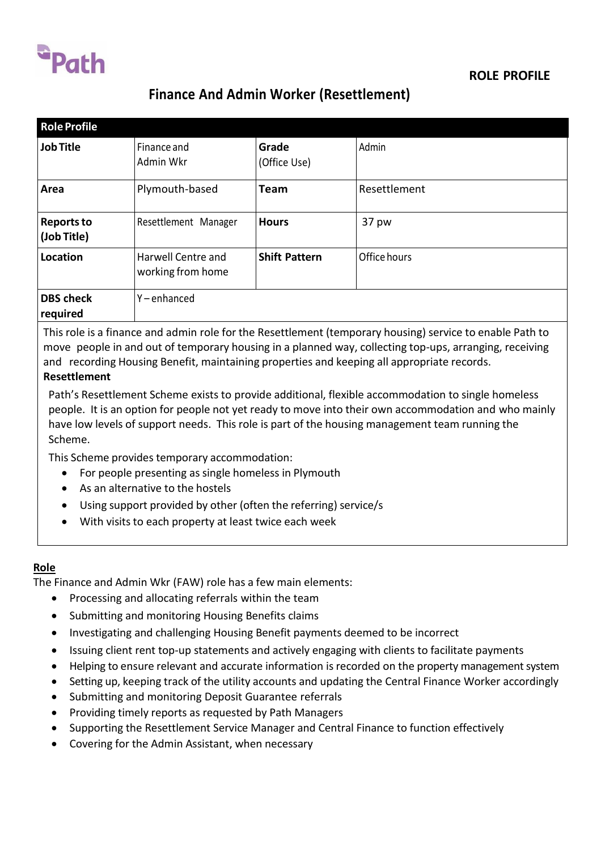

# **Finance And Admin Worker (Resettlement)**

| <b>Role Profile</b>              |                                         |                       |              |
|----------------------------------|-----------------------------------------|-----------------------|--------------|
| <b>Job Title</b>                 | Finance and<br>Admin Wkr                | Grade<br>(Office Use) | Admin        |
| Area                             | Plymouth-based                          | Team                  | Resettlement |
| <b>Reports to</b><br>(Job Title) | Resettlement Manager                    | <b>Hours</b>          | 37 pw        |
| Location                         | Harwell Centre and<br>working from home | <b>Shift Pattern</b>  | Office hours |
| <b>DBS</b> check<br>required     | Y-enhanced                              |                       |              |

This role is a finance and admin role for the Resettlement (temporary housing) service to enable Path to move people in and out of temporary housing in a planned way, collecting top-ups, arranging, receiving and recording Housing Benefit, maintaining properties and keeping all appropriate records. **Resettlement**

Path's Resettlement Scheme exists to provide additional, flexible accommodation to single homeless people. It is an option for people not yet ready to move into their own accommodation and who mainly have low levels of support needs. This role is part of the housing management team running the Scheme.

This Scheme provides temporary accommodation:

- For people presenting as single homeless in Plymouth
- As an alternative to the hostels
- Using support provided by other (often the referring) service/s
- With visits to each property at least twice each week

#### **Role**

The Finance and Admin Wkr (FAW) role has a few main elements:

- Processing and allocating referrals within the team
- Submitting and monitoring Housing Benefits claims
- Investigating and challenging Housing Benefit payments deemed to be incorrect
- Issuing client rent top-up statements and actively engaging with clients to facilitate payments
- Helping to ensure relevant and accurate information is recorded on the property management system
- Setting up, keeping track of the utility accounts and updating the Central Finance Worker accordingly
- Submitting and monitoring Deposit Guarantee referrals
- Providing timely reports as requested by Path Managers
- Supporting the Resettlement Service Manager and Central Finance to function effectively
- Covering for the Admin Assistant, when necessary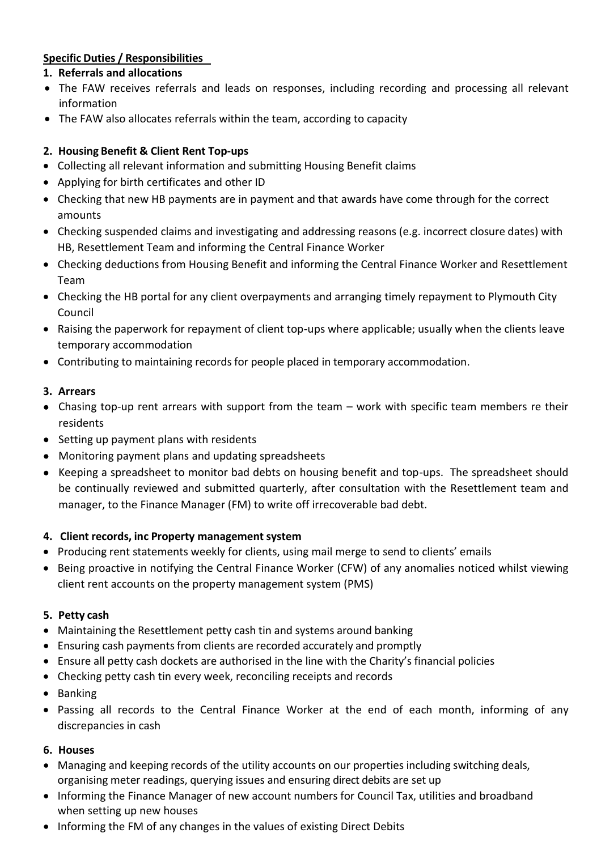# **Specific Duties / Responsibilities**

# **1. Referrals and allocations**

- The FAW receives referrals and leads on responses, including recording and processing all relevant information
- The FAW also allocates referrals within the team, according to capacity

# **2. Housing Benefit & Client Rent Top-ups**

- Collecting all relevant information and submitting Housing Benefit claims
- Applying for birth certificates and other ID
- Checking that new HB payments are in payment and that awards have come through for the correct amounts
- Checking suspended claims and investigating and addressing reasons (e.g. incorrect closure dates) with HB, Resettlement Team and informing the Central Finance Worker
- Checking deductions from Housing Benefit and informing the Central Finance Worker and Resettlement Team
- Checking the HB portal for any client overpayments and arranging timely repayment to Plymouth City Council
- Raising the paperwork for repayment of client top-ups where applicable; usually when the clients leave temporary accommodation
- Contributing to maintaining recordsfor people placed in temporary accommodation.

#### **3. Arrears**

- Chasing top-up rent arrears with support from the team work with specific team members re their residents
- Setting up payment plans with residents
- Monitoring payment plans and updating spreadsheets
- Keeping a spreadsheet to monitor bad debts on housing benefit and top-ups. The spreadsheet should be continually reviewed and submitted quarterly, after consultation with the Resettlement team and manager, to the Finance Manager (FM) to write off irrecoverable bad debt.

#### **4. Client records, inc Property management system**

- Producing rent statements weekly for clients, using mail merge to send to clients' emails
- Being proactive in notifying the Central Finance Worker (CFW) of any anomalies noticed whilst viewing client rent accounts on the property management system (PMS)

#### **5. Petty cash**

- Maintaining the Resettlement petty cash tin and systems around banking
- Ensuring cash payments from clients are recorded accurately and promptly
- Ensure all petty cash dockets are authorised in the line with the Charity's financial policies
- Checking petty cash tin every week, reconciling receipts and records
- Banking
- Passing all records to the Central Finance Worker at the end of each month, informing of any discrepancies in cash

#### **6. Houses**

- Managing and keeping records of the utility accounts on our properties including switching deals, organising meter readings, querying issues and ensuring direct debits are set up
- Informing the Finance Manager of new account numbers for Council Tax, utilities and broadband when setting up new houses
- Informing the FM of any changes in the values of existing Direct Debits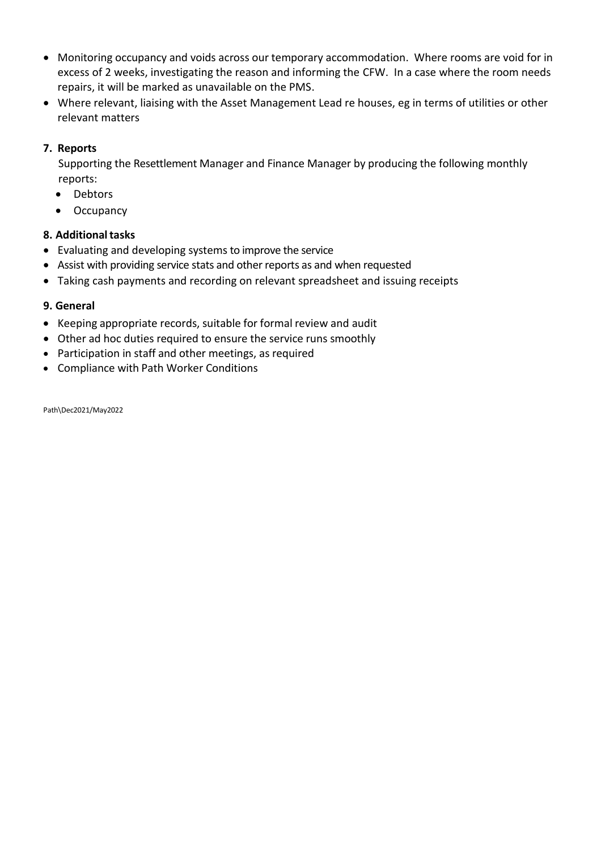- Monitoring occupancy and voids across our temporary accommodation. Where rooms are void for in excess of 2 weeks, investigating the reason and informing the CFW. In a case where the room needs repairs, it will be marked as unavailable on the PMS.
- Where relevant, liaising with the Asset Management Lead re houses, eg in terms of utilities or other relevant matters

#### **7. Reports**

Supporting the Resettlement Manager and Finance Manager by producing the following monthly reports:

- Debtors
- Occupancy

#### **8. Additionaltasks**

- Evaluating and developing systems to improve the service
- Assist with providing service stats and other reports as and when requested
- Taking cash payments and recording on relevant spreadsheet and issuing receipts

#### **9. General**

- Keeping appropriate records, suitable for formal review and audit
- Other ad hoc duties required to ensure the service runs smoothly
- Participation in staff and other meetings, as required
- Compliance with Path Worker Conditions

Path\Dec2021/May2022